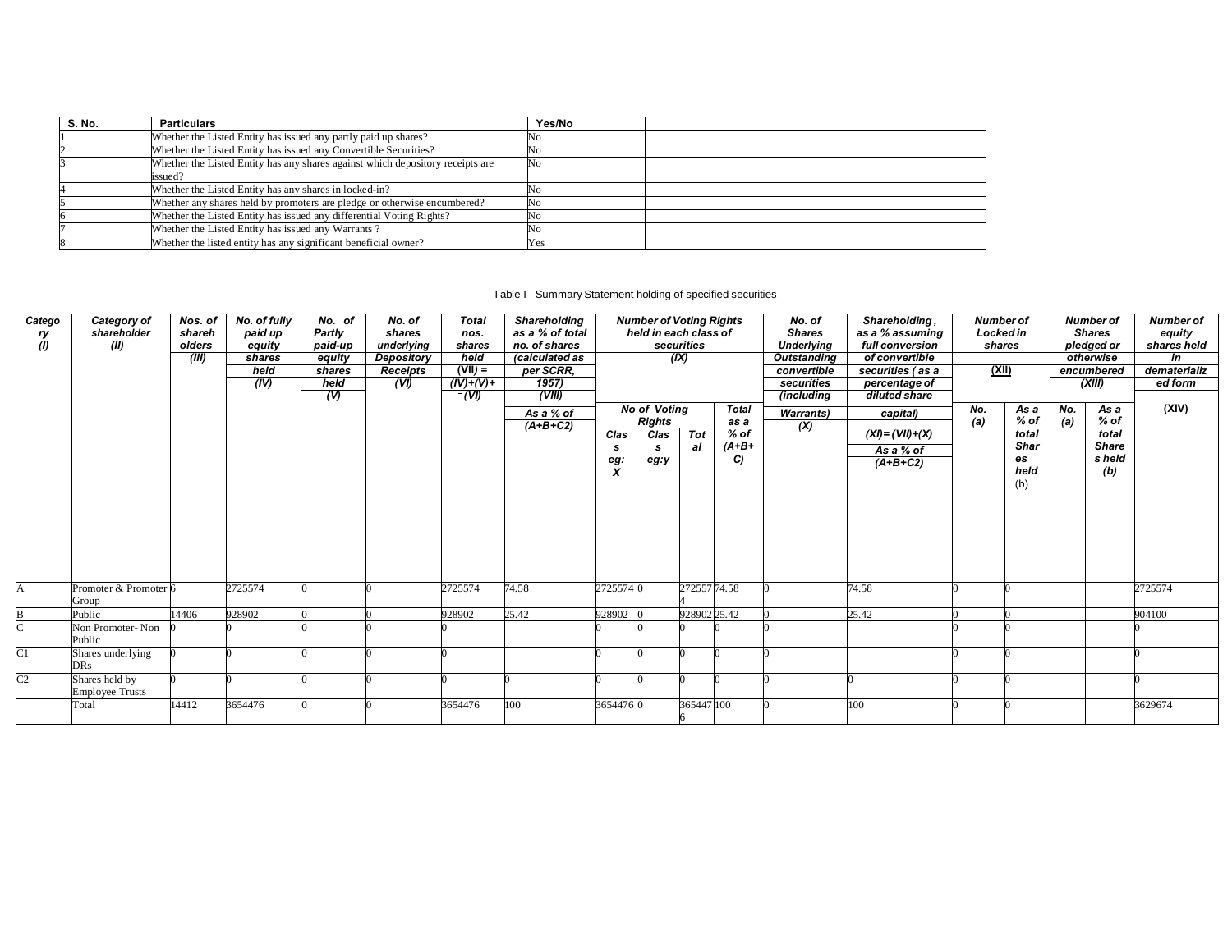| S. No. | <b>Particulars</b>                                                                        | Yes/No |  |
|--------|-------------------------------------------------------------------------------------------|--------|--|
|        | Whether the Listed Entity has issued any partly paid up shares?                           | NΟ     |  |
|        | Whether the Listed Entity has issued any Convertible Securities?                          | 'NO    |  |
|        | Whether the Listed Entity has any shares against which depository receipts are<br>issued? | No     |  |
|        | Whether the Listed Entity has any shares in locked-in?                                    |        |  |
|        | Whether any shares held by promoters are pledge or otherwise encumbered?                  |        |  |
|        | Whether the Listed Entity has issued any differential Voting Rights?                      |        |  |
|        | Whether the Listed Entity has issued any Warrants?                                        | 'Nο    |  |
|        | Whether the listed entity has any significant beneficial owner?                           | Yes    |  |

## Table I - Summary Statement holding of specified securities

| Catego          | Category of                     | Nos. of          | No. of fully      | No. of            | No. of               | <b>Total</b>     | Shareholding                     |          | <b>Number of Voting Rights</b>      |              |              | No. of                             | Shareholding,                      | <b>Number of</b>           |             |     | <b>Number of</b>            | <b>Number of</b>      |
|-----------------|---------------------------------|------------------|-------------------|-------------------|----------------------|------------------|----------------------------------|----------|-------------------------------------|--------------|--------------|------------------------------------|------------------------------------|----------------------------|-------------|-----|-----------------------------|-----------------------|
| ry              | shareholder<br>(II)             | shareh<br>olders | paid up<br>equity | Partly<br>paid-up | shares<br>underlying | nos.<br>shares   | as a % of total<br>no. of shares |          | held in each class of<br>securities |              |              | <b>Shares</b><br><b>Underlying</b> | as a % assuming<br>full conversion | <b>Locked in</b><br>shares |             |     | <b>Shares</b><br>pledged or | equity<br>shares held |
| (1)             |                                 | (III)            | shares            | equity            | Depository           | held             | (calculated as                   |          |                                     | (IX)         |              | <b>Outstanding</b>                 | of convertible                     |                            |             |     | otherwise                   | in                    |
|                 |                                 |                  | held              | shares            | <b>Receipts</b>      | $(VII) =$        | per SCRR,                        |          |                                     |              |              | convertible                        | securities (as a                   | (XII)                      |             |     | encumbered                  | dematerializ          |
|                 |                                 |                  | (IV)              | held              | (VI)                 | $(IV)+(V) +$     | 1957)                            |          |                                     |              |              | securities                         | percentage of                      |                            |             |     | (XIII)                      | ed form               |
|                 |                                 |                  |                   | $\overline{v}$    |                      | $\overline{(V)}$ | (VIII)                           |          |                                     |              |              | (including                         | diluted share                      |                            |             |     |                             |                       |
|                 |                                 |                  |                   |                   |                      |                  | As a % of                        |          | <b>No of Voting</b>                 |              | <b>Total</b> | <b>Warrants</b> )                  | capital)                           | No.                        | As a        | No. | As a                        | (XIV)                 |
|                 |                                 |                  |                   |                   |                      |                  | $(A+B+C2)$                       |          | <b>Rights</b>                       |              | as a         | (X)                                |                                    | (a)                        | $%$ of      | (a) | % of                        |                       |
|                 |                                 |                  |                   |                   |                      |                  |                                  | Clas     | Clas                                | <b>Tot</b>   | $%$ of       |                                    | $(XI) = (VII) + (X)$               |                            | total       |     | total                       |                       |
|                 |                                 |                  |                   |                   |                      |                  |                                  | -S       | s                                   | al           | $(A+B+$      |                                    | As a % of                          |                            | <b>Shar</b> |     | <b>Share</b>                |                       |
|                 |                                 |                  |                   |                   |                      |                  |                                  | eg:      | eg:y                                |              | C)           |                                    | $(A+B+C2)$                         |                            | es<br>held  |     | s held                      |                       |
|                 |                                 |                  |                   |                   |                      |                  |                                  | X        |                                     |              |              |                                    |                                    |                            | (b)         |     | (b)                         |                       |
|                 |                                 |                  |                   |                   |                      |                  |                                  |          |                                     |              |              |                                    |                                    |                            |             |     |                             |                       |
|                 |                                 |                  |                   |                   |                      |                  |                                  |          |                                     |              |              |                                    |                                    |                            |             |     |                             |                       |
|                 |                                 |                  |                   |                   |                      |                  |                                  |          |                                     |              |              |                                    |                                    |                            |             |     |                             |                       |
|                 |                                 |                  |                   |                   |                      |                  |                                  |          |                                     |              |              |                                    |                                    |                            |             |     |                             |                       |
|                 |                                 |                  |                   |                   |                      |                  |                                  |          |                                     |              |              |                                    |                                    |                            |             |     |                             |                       |
|                 |                                 |                  |                   |                   |                      |                  |                                  |          |                                     |              |              |                                    |                                    |                            |             |     |                             |                       |
|                 |                                 |                  |                   |                   |                      |                  |                                  |          |                                     |              |              |                                    |                                    |                            |             |     |                             |                       |
|                 | Promoter & Promoter 6           |                  | 2725574           |                   |                      | 2725574          | 74.58                            | 27255740 |                                     | 272557 74.58 |              |                                    | 74.58                              |                            |             |     |                             | 2725574               |
|                 | Group                           |                  |                   |                   |                      |                  |                                  |          |                                     |              |              |                                    |                                    |                            |             |     |                             |                       |
|                 | Public                          | 14406            | 928902            |                   |                      | 928902           | 25.42                            | 928902   |                                     | 928902 25.42 |              |                                    | 25.42                              |                            |             |     |                             | 904100                |
|                 | Non Promoter-Non                |                  |                   |                   |                      |                  |                                  |          |                                     |              |              |                                    |                                    |                            |             |     |                             |                       |
|                 | Public                          |                  |                   |                   |                      |                  |                                  |          |                                     |              |              |                                    |                                    |                            |             |     |                             |                       |
| $\overline{C}1$ | Shares underlying               |                  |                   |                   |                      |                  |                                  |          |                                     |              |              |                                    |                                    |                            |             |     |                             |                       |
|                 | <b>DRs</b>                      |                  |                   |                   |                      |                  |                                  |          |                                     |              |              |                                    |                                    |                            |             |     |                             |                       |
| C <sub>2</sub>  | Shares held by                  |                  |                   |                   |                      |                  |                                  |          |                                     |              |              |                                    |                                    |                            |             |     |                             |                       |
|                 | <b>Employee Trusts</b><br>Total | 14412            | 3654476           |                   |                      | 3654476          | 100                              | 36544760 |                                     | 365447 100   |              |                                    | 100                                |                            |             |     |                             | 3629674               |
|                 |                                 |                  |                   |                   |                      |                  |                                  |          |                                     |              |              |                                    |                                    |                            |             |     |                             |                       |
|                 |                                 |                  |                   |                   |                      |                  |                                  |          |                                     |              |              |                                    |                                    |                            |             |     |                             |                       |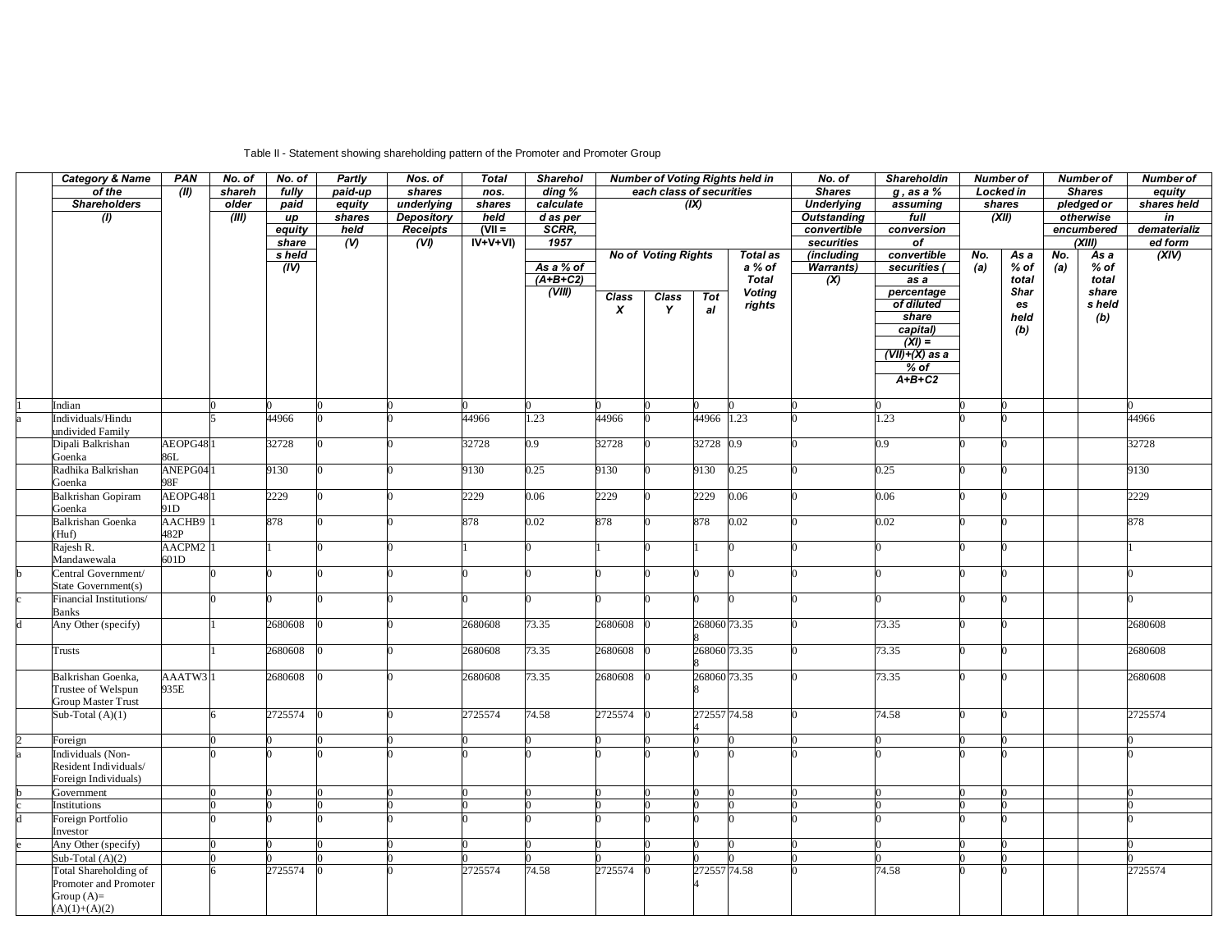## Table II - Statement showing shareholding pattern of the Promoter and Promoter Group

| <b>Category &amp; Name</b>                     | <b>PAN</b>          | No. of | No. of  | Partly         | Nos. of           | <b>Total</b> | <b>Sharehol</b>         |                  |                            |              | <b>Number of Voting Rights held in</b> | No. of                    | Shareholdin                                  |     | <b>Number of</b> |     | <b>Number of</b> | <b>Number of</b> |
|------------------------------------------------|---------------------|--------|---------|----------------|-------------------|--------------|-------------------------|------------------|----------------------------|--------------|----------------------------------------|---------------------------|----------------------------------------------|-----|------------------|-----|------------------|------------------|
| of the                                         | (II)                | shareh | fully   | paid-up        | shares            | nos.         | ding %                  |                  | each class of securities   |              |                                        | <b>Shares</b>             | $g$ , as a $%$                               |     | Locked in        |     | <b>Shares</b>    | equity           |
| <b>Shareholders</b>                            |                     | older  | paid    | equity         | underlying        | shares       | calculate               |                  |                            | (IX)         |                                        | <b>Underlying</b>         | assuming                                     |     | shares           |     | pledged or       | shares held      |
| $\overline{(\theta)}$                          |                     | (III)  | up      | shares         | <b>Depository</b> | held         | $d$ as per              |                  |                            |              |                                        | <b>Outstanding</b>        | full                                         |     | (XII)            |     | otherwise        | $\overline{in}$  |
|                                                |                     |        | equity  | held           | Receipts          | $(VII =$     | SCRR.                   |                  |                            |              |                                        | convertible               | conversion                                   |     |                  |     | encumbered       | dematerializ     |
|                                                |                     |        | share   | $\overline{w}$ | (V)               | $IV+V+VI$    | 1957                    |                  |                            |              |                                        | securities                | $\overline{of}$                              |     |                  |     | (XIII)           | ed form          |
|                                                |                     |        | s held  |                |                   |              |                         |                  | <b>No of Voting Rights</b> |              | <b>Total as</b>                        | (including                | convertible                                  | No. | As a             | No. | As a             | (XIV)            |
|                                                |                     |        | (IV)    |                |                   |              | As a % of<br>$(A+B+C2)$ |                  |                            |              | a % of<br><b>Total</b>                 | <b>Warrants)</b>          | securities (                                 | (a) | % of<br>total    | (a) | $%$ of<br>total  |                  |
|                                                |                     |        |         |                |                   |              | (VIII)                  |                  |                            |              |                                        | $\overline{(\mathsf{X})}$ | $\overline{as}$ $\overline{a}$<br>percentage |     | <b>Shar</b>      |     | share            |                  |
|                                                |                     |        |         |                |                   |              |                         | <b>Class</b>     | Class                      | <b>Tot</b>   | <b>Voting</b><br>rights                |                           | of diluted                                   |     | es               |     | s held           |                  |
|                                                |                     |        |         |                |                   |              |                         | $\boldsymbol{x}$ | Y                          | al           |                                        |                           | share                                        |     | held             |     | (b)              |                  |
|                                                |                     |        |         |                |                   |              |                         |                  |                            |              |                                        |                           | capital)                                     |     | (b)              |     |                  |                  |
|                                                |                     |        |         |                |                   |              |                         |                  |                            |              |                                        |                           | $(XI) =$                                     |     |                  |     |                  |                  |
|                                                |                     |        |         |                |                   |              |                         |                  |                            |              |                                        |                           | $(VII)+(X)$ as a                             |     |                  |     |                  |                  |
|                                                |                     |        |         |                |                   |              |                         |                  |                            |              |                                        |                           | $%$ of                                       |     |                  |     |                  |                  |
|                                                |                     |        |         |                |                   |              |                         |                  |                            |              |                                        |                           | $A+B+C2$                                     |     |                  |     |                  |                  |
|                                                |                     |        |         |                |                   |              |                         |                  |                            |              |                                        |                           |                                              |     |                  |     |                  |                  |
| Indian                                         |                     |        |         |                |                   |              |                         |                  |                            |              |                                        |                           |                                              |     |                  |     |                  |                  |
| Individuals/Hindu<br>undivided Family          |                     |        | 44966   |                |                   | 44966        | 1.23                    | 44966            |                            | 44966 1.23   |                                        |                           | 1.23                                         |     |                  |     |                  | 44966            |
| Dipali Balkrishan                              | AEOPG481            |        | 32728   |                |                   | 32728        | 0.9                     | 32728            |                            | 32728 0.9    |                                        |                           | 0.9 <sup>°</sup>                             |     |                  |     |                  | 32728            |
| Goenka                                         | 86L                 |        |         |                |                   |              |                         |                  |                            |              |                                        |                           |                                              |     |                  |     |                  |                  |
| Radhika Balkrishan                             | ANEPG041            |        | 9130    |                |                   | 9130         | 0.25                    | 9130             |                            | 9130         | 0.25                                   |                           | 0.25                                         |     |                  |     |                  | 9130             |
| Goenka                                         | 98F                 |        |         |                |                   |              |                         |                  |                            |              |                                        |                           |                                              |     |                  |     |                  |                  |
| <b>Balkrishan Gopiram</b>                      | AEOPG481            |        | 2229    |                |                   | 2229         | 0.06                    | 2229             |                            | 2229         | 0.06                                   |                           | 0.06                                         |     |                  |     |                  | 2229             |
| Goenka                                         | 91D                 |        |         |                |                   |              |                         |                  |                            |              |                                        |                           |                                              |     |                  |     |                  |                  |
| <b>Balkrishan Goenka</b>                       | AACHB9              |        | 878     |                |                   | 878          | 0.02                    | 878              |                            | 878          | 0.02                                   |                           | 0.02                                         |     | 0                |     |                  | 878              |
| (Huf)                                          | 482P                |        |         |                |                   |              |                         |                  |                            |              |                                        |                           |                                              |     |                  |     |                  |                  |
| Rajesh R.                                      | AACPM2 <sup>1</sup> |        |         |                |                   |              |                         |                  |                            |              |                                        |                           |                                              |     |                  |     |                  |                  |
| Mandawewala                                    | 601D                |        |         |                |                   |              |                         |                  |                            |              |                                        |                           |                                              |     |                  |     |                  |                  |
| Central Government/                            |                     |        |         |                |                   |              |                         |                  |                            |              |                                        |                           |                                              |     |                  |     |                  |                  |
| State Government(s)<br>Financial Institutions/ |                     |        |         |                |                   |              |                         |                  |                            |              |                                        |                           |                                              |     |                  |     |                  |                  |
| Banks                                          |                     |        |         |                |                   |              |                         |                  |                            |              |                                        |                           |                                              |     |                  |     |                  |                  |
| Any Other (specify)                            |                     |        | 2680608 |                |                   | 2680608      | 73.35                   | 2680608          |                            | 268060 73.35 |                                        |                           | 73.35                                        |     |                  |     |                  | 2680608          |
|                                                |                     |        |         |                |                   |              |                         |                  |                            |              |                                        |                           |                                              |     |                  |     |                  |                  |
| Trusts                                         |                     |        | 2680608 |                |                   | 2680608      | 73.35                   | 2680608          |                            | 268060 73.35 |                                        |                           | 73.35                                        |     | 0                |     |                  | 2680608          |
|                                                |                     |        |         |                |                   |              |                         |                  |                            |              |                                        |                           |                                              |     |                  |     |                  |                  |
| Balkrishan Goenka,                             | AAATW31             |        | 2680608 |                |                   | 2680608      | 73.35                   | 2680608          |                            | 268060 73.35 |                                        |                           | 73.35                                        |     |                  |     |                  | 2680608          |
| Trustee of Welspun                             | 935E                |        |         |                |                   |              |                         |                  |                            |              |                                        |                           |                                              |     |                  |     |                  |                  |
| <b>Group Master Trust</b>                      |                     |        |         |                |                   |              |                         |                  |                            |              |                                        |                           |                                              |     |                  |     |                  |                  |
| Sub-Total $(A)(1)$                             |                     |        | 2725574 |                |                   | 2725574      | 74.58                   | 2725574          |                            | 272557 74.58 |                                        |                           | 74.58                                        |     |                  |     |                  | 2725574          |
|                                                |                     |        |         |                |                   |              |                         |                  |                            |              |                                        |                           |                                              |     |                  |     |                  |                  |
| Foreign<br>Individuals (Non-                   |                     |        |         |                |                   |              |                         |                  |                            |              |                                        |                           |                                              |     |                  |     |                  |                  |
| Resident Individuals/                          |                     |        |         |                |                   |              |                         |                  |                            |              |                                        |                           |                                              |     |                  |     |                  |                  |
| Foreign Individuals)                           |                     |        |         |                |                   |              |                         |                  |                            |              |                                        |                           |                                              |     |                  |     |                  |                  |
| Government                                     |                     |        |         |                |                   |              |                         |                  |                            |              |                                        |                           |                                              |     |                  |     |                  |                  |
| Institutions                                   |                     |        |         |                |                   |              |                         |                  |                            |              |                                        |                           |                                              |     |                  |     |                  |                  |
| Foreign Portfolio                              |                     |        |         |                |                   |              |                         |                  |                            |              |                                        |                           |                                              |     |                  |     |                  |                  |
| Investor                                       |                     |        |         |                |                   |              |                         |                  |                            |              |                                        |                           |                                              |     |                  |     |                  |                  |
| Any Other (specify)                            |                     |        |         |                |                   |              |                         |                  |                            |              |                                        |                           |                                              |     |                  |     |                  |                  |
| Sub-Total (A)(2)                               |                     |        |         |                |                   |              |                         |                  |                            |              |                                        |                           |                                              |     |                  |     |                  |                  |
| Total Shareholding of                          |                     |        | 2725574 |                |                   | 2725574      | 74.58                   | 2725574          |                            | 272557 74.58 |                                        |                           | 74.58                                        |     |                  |     |                  | 2725574          |
| Promoter and Promoter                          |                     |        |         |                |                   |              |                         |                  |                            |              |                                        |                           |                                              |     |                  |     |                  |                  |
| Group $(A)=$                                   |                     |        |         |                |                   |              |                         |                  |                            |              |                                        |                           |                                              |     |                  |     |                  |                  |
| $(A)(1)+(A)(2)$                                |                     |        |         |                |                   |              |                         |                  |                            |              |                                        |                           |                                              |     |                  |     |                  |                  |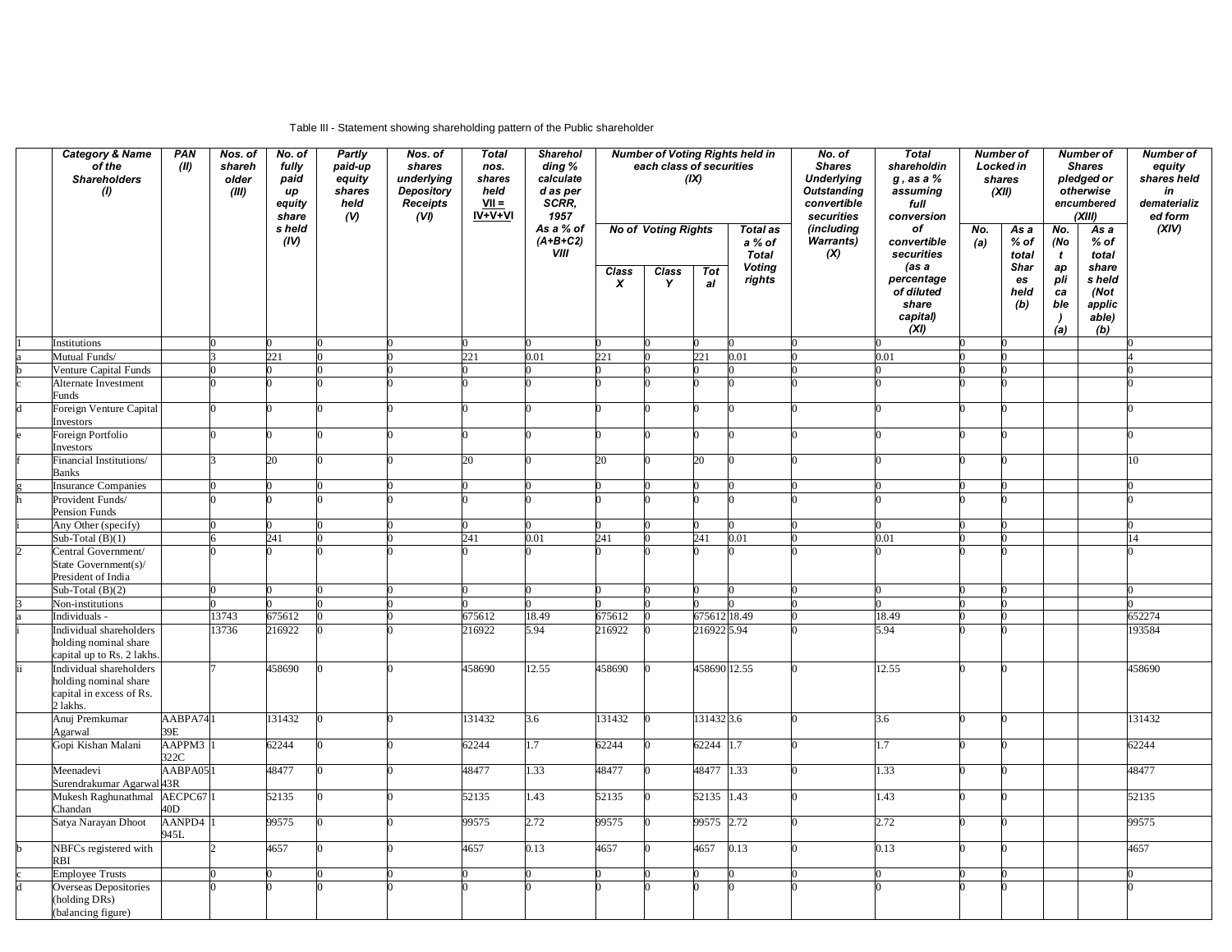#### Table III - Statement showing shareholding pattern of the Public shareholder

| <b>Category &amp; Name</b><br>of the<br><b>Shareholders</b><br>(1) | PAN<br>(II)                 | Nos. of<br>shareh<br>older<br>(III) | No. of<br>fully<br>paid<br>up<br>equity<br>share | Partly<br>paid-up<br>equity<br>shares<br>held<br>(N) | Nos. of<br>shares<br>underlying<br>Depository<br><b>Receipts</b><br>(VI) | <b>Total</b><br>nos.<br>shares<br>held<br>$VII =$<br>$IV+V+VI$ | <b>Sharehol</b><br>ding %<br>calculate<br>d as per<br>SCRR,<br>1957 |        | each class of securities            | (IX)         | <b>Number of Voting Rights held in</b>                     | No. of<br><b>Shares</b><br><b>Underlying</b><br><b>Outstanding</b><br>convertible<br>securities | <b>Total</b><br>shareholdin<br>$g$ , as a $%$<br>assuming<br>full<br>conversion |            | Number of<br><b>Locked in</b><br>shares<br>(XII) |                                                     | <b>Number of</b><br><b>Shares</b><br>pledged or<br>otherwise<br>encumbered<br>(XIII) | Number of<br>equity<br>shares held<br>in<br>dematerializ<br>ed form |
|--------------------------------------------------------------------|-----------------------------|-------------------------------------|--------------------------------------------------|------------------------------------------------------|--------------------------------------------------------------------------|----------------------------------------------------------------|---------------------------------------------------------------------|--------|-------------------------------------|--------------|------------------------------------------------------------|-------------------------------------------------------------------------------------------------|---------------------------------------------------------------------------------|------------|--------------------------------------------------|-----------------------------------------------------|--------------------------------------------------------------------------------------|---------------------------------------------------------------------|
|                                                                    |                             |                                     | s held<br>(IV)                                   |                                                      |                                                                          |                                                                | As a % of<br>$(A+B+C2)$<br>VIII                                     | Class  | <b>No of Voting Rights</b><br>Class | Tot          | <b>Total as</b><br>a % of<br><b>Total</b><br><b>Voting</b> | (including<br><b>Warrants)</b><br>(X)                                                           | of<br>convertible<br>securities<br>(as a                                        | No.<br>(a) | As a<br>% of<br>total<br><b>Shar</b>             | No.<br>(No<br>$\mathbf{t}$<br>ap                    | As a<br>$%$ of<br>total<br>share                                                     | (XIV)                                                               |
|                                                                    |                             |                                     |                                                  |                                                      |                                                                          |                                                                |                                                                     | X      | Y                                   | al           | rights                                                     |                                                                                                 | percentage<br>of diluted<br>share<br>capital)<br>(XI)                           |            | es<br>held<br>(b)                                | pli<br>ca<br>ble<br>$\overline{\phantom{a}}$<br>(a) | s held<br>(Not<br>applic<br>able)<br>(b)                                             |                                                                     |
| Institutions                                                       |                             |                                     |                                                  |                                                      |                                                                          |                                                                |                                                                     |        |                                     |              |                                                            |                                                                                                 |                                                                                 |            |                                                  |                                                     |                                                                                      |                                                                     |
| Mutual Funds/                                                      |                             |                                     | 221                                              |                                                      |                                                                          | 221                                                            | 0.01                                                                | 221    |                                     | 221          | 0.01                                                       |                                                                                                 | 0.01                                                                            |            |                                                  |                                                     |                                                                                      |                                                                     |
| Venture Capital Funds<br>Alternate Investment                      |                             |                                     |                                                  |                                                      |                                                                          |                                                                |                                                                     |        |                                     |              |                                                            |                                                                                                 |                                                                                 |            |                                                  |                                                     |                                                                                      |                                                                     |
| Funds                                                              |                             |                                     |                                                  |                                                      |                                                                          |                                                                |                                                                     |        |                                     |              |                                                            |                                                                                                 |                                                                                 |            |                                                  |                                                     |                                                                                      |                                                                     |
| Foreign Venture Capital<br>Investors                               |                             |                                     |                                                  |                                                      |                                                                          |                                                                |                                                                     |        |                                     |              |                                                            |                                                                                                 |                                                                                 |            |                                                  |                                                     |                                                                                      |                                                                     |
| Foreign Portfolio<br>Investors                                     |                             |                                     |                                                  |                                                      |                                                                          |                                                                |                                                                     |        |                                     |              |                                                            |                                                                                                 |                                                                                 |            |                                                  |                                                     |                                                                                      |                                                                     |
| Financial Institutions/<br><b>Banks</b>                            |                             |                                     | 20                                               |                                                      |                                                                          | 20                                                             |                                                                     | 20     |                                     | 20           |                                                            |                                                                                                 |                                                                                 |            |                                                  |                                                     |                                                                                      | 10.                                                                 |
| Insurance Companies                                                |                             |                                     |                                                  |                                                      |                                                                          |                                                                |                                                                     |        |                                     |              |                                                            |                                                                                                 |                                                                                 |            |                                                  |                                                     |                                                                                      |                                                                     |
| Provident Funds/<br>Pension Funds                                  |                             |                                     |                                                  |                                                      |                                                                          |                                                                |                                                                     |        |                                     |              |                                                            |                                                                                                 |                                                                                 |            |                                                  |                                                     |                                                                                      |                                                                     |
| Any Other (specify)                                                |                             |                                     |                                                  |                                                      |                                                                          |                                                                |                                                                     |        |                                     |              |                                                            |                                                                                                 |                                                                                 |            |                                                  |                                                     |                                                                                      |                                                                     |
| Sub-Total $(B)(1)$                                                 |                             |                                     | 241                                              |                                                      |                                                                          | 241                                                            | 0.01                                                                | 241    |                                     | 241          | 0.01                                                       |                                                                                                 | 0.01                                                                            |            |                                                  |                                                     |                                                                                      | 14                                                                  |
| Central Government/<br>State Government(s)/<br>President of India  |                             |                                     |                                                  |                                                      |                                                                          |                                                                |                                                                     |        |                                     |              |                                                            |                                                                                                 |                                                                                 |            |                                                  |                                                     |                                                                                      |                                                                     |
| Sub-Total $(B)(2)$                                                 |                             |                                     |                                                  |                                                      |                                                                          |                                                                |                                                                     |        |                                     |              |                                                            |                                                                                                 |                                                                                 |            |                                                  |                                                     |                                                                                      |                                                                     |
| Non-institutions                                                   |                             |                                     |                                                  |                                                      |                                                                          |                                                                |                                                                     |        |                                     |              |                                                            |                                                                                                 |                                                                                 |            |                                                  |                                                     |                                                                                      |                                                                     |
| Individuals -                                                      |                             | 13743                               | 675612                                           |                                                      |                                                                          | 675612                                                         | 18.49                                                               | 675612 |                                     | 675612 18.49 |                                                            |                                                                                                 | 18.49                                                                           |            |                                                  |                                                     |                                                                                      | 652274                                                              |
| Individual shareholders<br>holding nominal share                   |                             | 13736                               | 216922                                           |                                                      |                                                                          | 216922                                                         | 5.94                                                                | 216922 |                                     | 216922 5.94  |                                                            |                                                                                                 | 5.94                                                                            |            |                                                  |                                                     |                                                                                      | 193584                                                              |
| capital up to Rs. 2 lakhs<br>Individual shareholders               |                             |                                     | 458690                                           |                                                      |                                                                          | 458690                                                         | 12.55                                                               | 458690 |                                     | 458690 12.55 |                                                            |                                                                                                 | 12.55                                                                           |            |                                                  |                                                     |                                                                                      | 458690                                                              |
| holding nominal share<br>capital in excess of Rs.<br>2 lakhs.      |                             |                                     |                                                  |                                                      |                                                                          |                                                                |                                                                     |        |                                     |              |                                                            |                                                                                                 |                                                                                 |            |                                                  |                                                     |                                                                                      |                                                                     |
| Anuj Premkumar<br>Agarwal                                          | AABPA741<br>39E             |                                     | 131432                                           |                                                      |                                                                          | 131432                                                         | 3.6                                                                 | 131432 |                                     | 131432 3.6   |                                                            |                                                                                                 | 3.6                                                                             |            |                                                  |                                                     |                                                                                      | 131432                                                              |
| Gopi Kishan Malani                                                 | AAPPM3 <sup>1</sup><br>322C |                                     | 62244                                            |                                                      |                                                                          | 62244                                                          | 1.7                                                                 | 62244  |                                     | 62244 1.7    |                                                            |                                                                                                 | 1.7                                                                             |            |                                                  |                                                     |                                                                                      | 62244                                                               |
| Meenadevi<br>Surendrakumar Agarwal 43R                             | AABPA051                    |                                     | 48477                                            |                                                      |                                                                          | 48477                                                          | 1.33                                                                | 48477  |                                     | 48477 1.33   |                                                            |                                                                                                 | 1.33                                                                            |            |                                                  |                                                     |                                                                                      | 48477                                                               |
| Mukesh Raghunathmal AECPC67 1<br>Chandan                           | 40D                         |                                     | 52135                                            |                                                      |                                                                          | 52135                                                          | 1.43                                                                | 52135  |                                     | 52135 1.43   |                                                            |                                                                                                 | 1.43                                                                            |            |                                                  |                                                     |                                                                                      | 52135                                                               |
| Satya Narayan Dhoot                                                | AANPD4 1<br>945L            |                                     | 99575                                            |                                                      |                                                                          | 99575                                                          | 2.72                                                                | 99575  |                                     | 99575 2.72   |                                                            |                                                                                                 | 2.72                                                                            |            |                                                  |                                                     |                                                                                      | 99575                                                               |
| NBFCs registered with<br>RBI                                       |                             |                                     | 4657                                             |                                                      |                                                                          | 4657                                                           | 0.13                                                                | 4657   |                                     | 4657         | 0.13                                                       |                                                                                                 | 0.13                                                                            |            | ∩                                                |                                                     |                                                                                      | 4657                                                                |
| <b>Employee Trusts</b>                                             |                             |                                     |                                                  |                                                      |                                                                          |                                                                |                                                                     |        |                                     |              |                                                            |                                                                                                 |                                                                                 |            |                                                  |                                                     |                                                                                      |                                                                     |
| Overseas Depositories<br>(holding DRs)                             |                             |                                     |                                                  |                                                      |                                                                          |                                                                |                                                                     |        |                                     |              |                                                            |                                                                                                 |                                                                                 |            |                                                  |                                                     |                                                                                      |                                                                     |
| (balancing figure)                                                 |                             |                                     |                                                  |                                                      |                                                                          |                                                                |                                                                     |        |                                     |              |                                                            |                                                                                                 |                                                                                 |            |                                                  |                                                     |                                                                                      |                                                                     |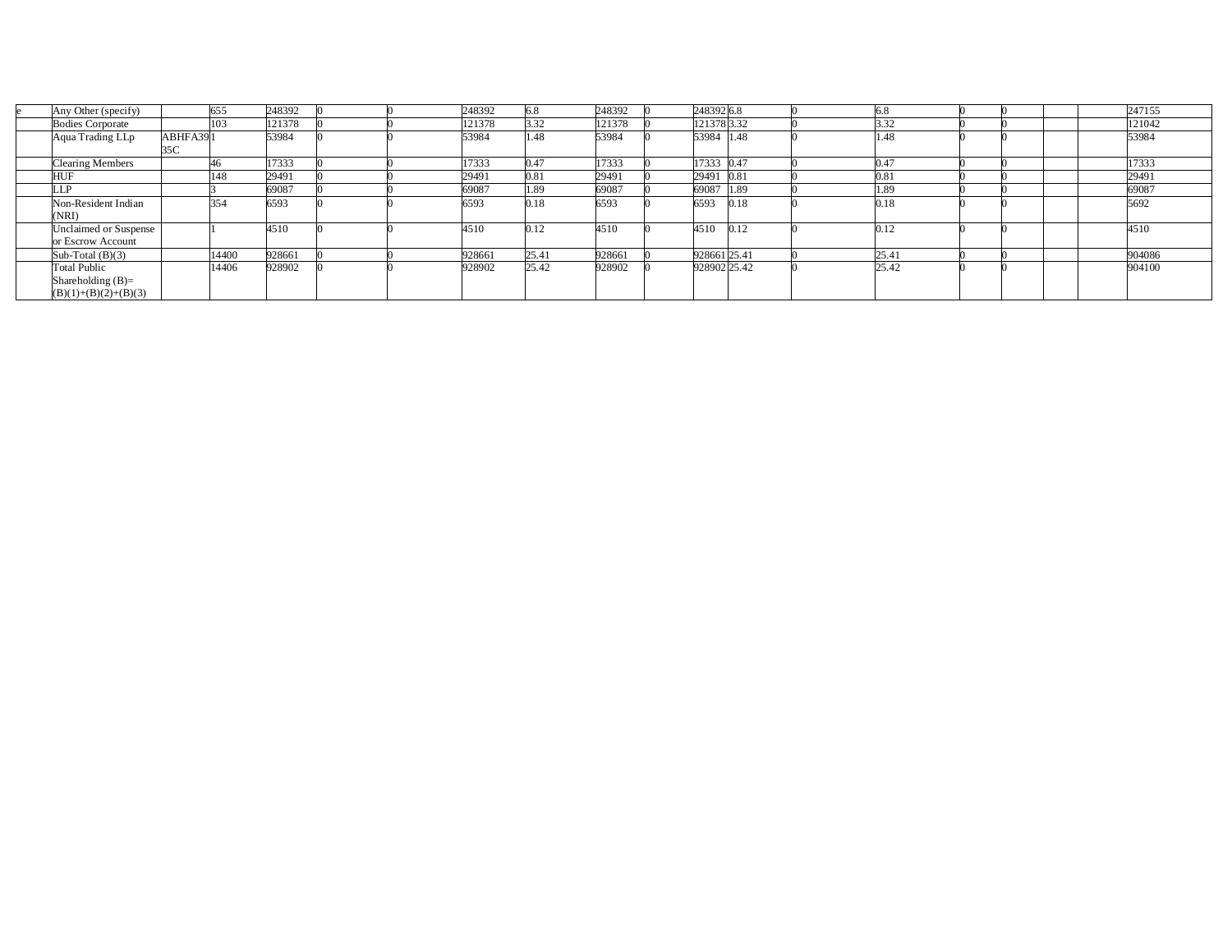| Any Other (specify)                                                  |                | 655   | 248392 |  | 248392 | 6.8   | 248392 | 2483926.8    |      |       |  |  | 247155 |
|----------------------------------------------------------------------|----------------|-------|--------|--|--------|-------|--------|--------------|------|-------|--|--|--------|
| <b>Bodies Corporate</b>                                              |                | 103   | 121378 |  | 121378 | 3.32  | 121378 | 121378 3.32  |      | 3.32  |  |  | 121042 |
| Aqua Trading LLp                                                     | ABHFA39<br>35C |       | 53984  |  | 53984  | 1.48  | 53984  | 53984 1.48   |      | .48   |  |  | 53984  |
| Clearing Members                                                     |                | 46.   | 17333  |  | 17333  | 0.47  | 17333  | 17333 0.47   |      | 0.47  |  |  | 17333  |
| HUI                                                                  |                | 148   | 29491  |  | 29491  | 0.81  | 29491  | 29491 0.81   |      | 0.81  |  |  | 29491  |
| ΙP                                                                   |                |       | 69087  |  | 69087  | 1.89  | 69087  | 69087        | 1.89 | .89   |  |  | 69087  |
| Non-Resident Indian<br>(NRI)                                         |                | 354   | 6593   |  | 6593   | 0.18  | 6593   | 6593         | 0.18 | 0.18  |  |  | 5692   |
| Unclaimed or Suspense<br>or Escrow Account                           |                |       | 4510   |  | 4510   | 0.12  | 4510   | 4510         | 0.12 | 0.12  |  |  | 4510   |
| Sub-Total $(B)(3)$                                                   |                | 14400 | 928661 |  | 928661 | 25.4  | 928661 | 928661 25.41 |      | 25.41 |  |  | 904086 |
| <b>Total Public</b><br>Shareholding $(B)=$<br>$(B)(1)+(B)(2)+(B)(3)$ |                | 14406 | 928902 |  | 928902 | 25.42 | 928902 | 928902 25.42 |      | 25.42 |  |  | 904100 |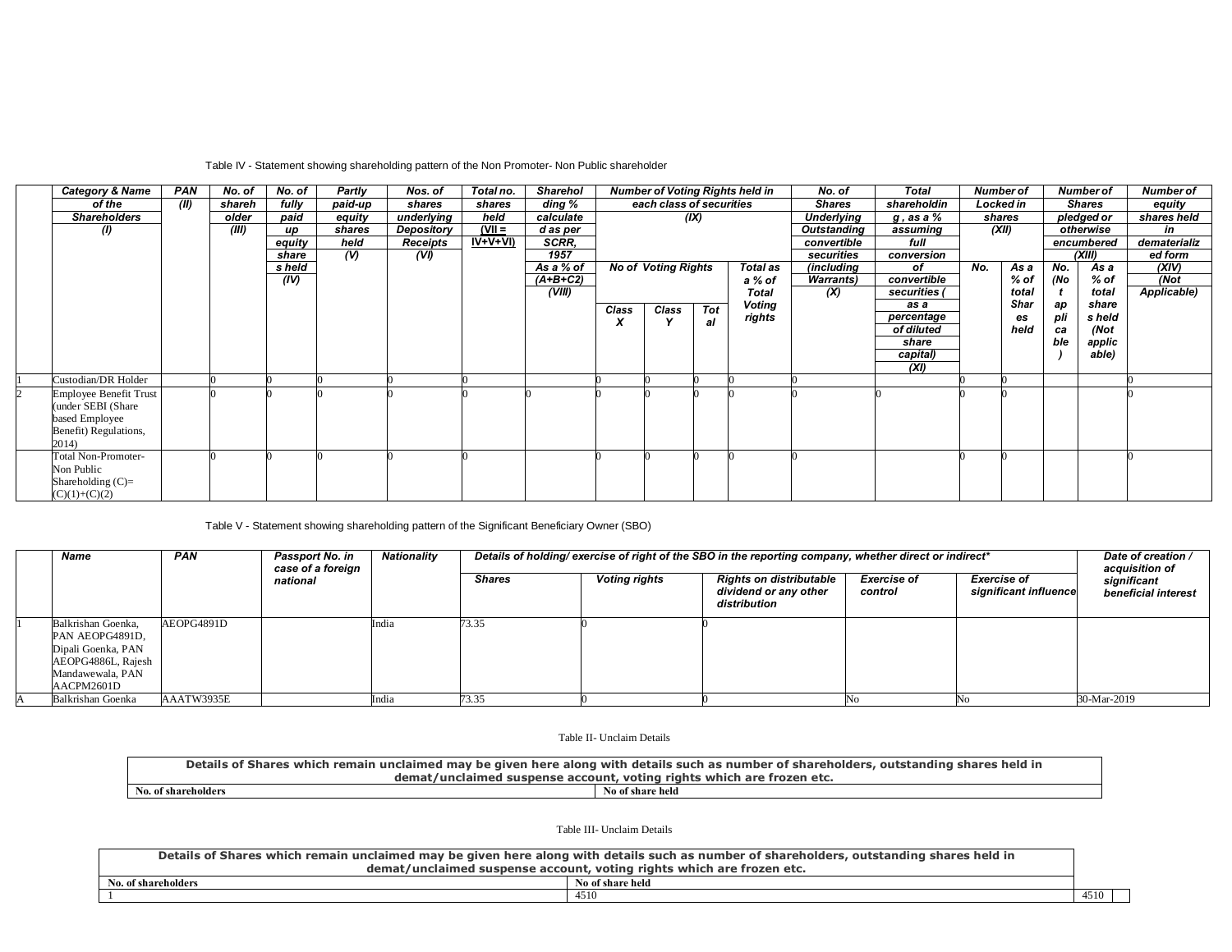# Table IV - Statement showing shareholding pattern of the Non Promoter- Non Public shareholder

| <b>Category &amp; Name</b> | PAN  | No. of | No. of | Partly        | Nos. of    | Total no. | <b>Sharehol</b> |       |                            |            | <b>Number of Voting Rights held in</b> | No. of            | <b>Total</b>    |     | <b>Number of</b> |     | <b>Number of</b> | <b>Number of</b> |
|----------------------------|------|--------|--------|---------------|------------|-----------|-----------------|-------|----------------------------|------------|----------------------------------------|-------------------|-----------------|-----|------------------|-----|------------------|------------------|
| of the                     | (II) | shareh | fully  | paid-up       | shares     | shares    | ding %          |       | each class of securities   |            |                                        | <b>Shares</b>     | shareholdin     |     | Locked in        |     | <b>Shares</b>    | equity           |
| <b>Shareholders</b>        |      | older  | paid   | equity        | underlying | held      | calculate       |       |                            | (IX)       |                                        | <b>Underlying</b> | $g$ , as a $\%$ |     | shares           |     | pledged or       | shares held      |
| $\mathcal{L}$              |      | (III)  | up     | shares        | Depository | $(VII =$  | d as per        |       |                            |            |                                        | Outstanding       | assuming        |     | (XII)            |     | otherwise        | in               |
|                            |      |        | equity | held          | Receipts   | $IV+V+VI$ | SCRR,           |       |                            |            |                                        | convertible       | full            |     |                  |     | encumbered       | dematerializ     |
|                            |      |        | share  | $\mathcal{U}$ | (V)        |           | 1957            |       |                            |            |                                        | securities        | conversion      |     |                  |     | (XIII)           | ed form          |
|                            |      |        | s held |               |            |           | As a % of       |       | <b>No of Voting Rights</b> |            | Total as                               | (including        | оf              | No. | As a             | No. | As a             | (XIV)            |
|                            |      |        | (IV)   |               |            |           | $(A+B+C2)$      |       |                            |            | a % of                                 | <b>Warrants</b> ) | convertible     |     | % of             | (No | % of             | (Not             |
|                            |      |        |        |               |            |           | (VIII)          |       |                            |            | <b>Total</b>                           | (X)               | securities      |     | total            |     | total            | Applicable)      |
|                            |      |        |        |               |            |           |                 | Class | Class                      | <b>Tot</b> | Voting                                 |                   | as a            |     | Shar             | ap  | share            |                  |
|                            |      |        |        |               |            |           |                 | X     |                            | al         | rights                                 |                   | percentage      |     | es               | pli | s held           |                  |
|                            |      |        |        |               |            |           |                 |       |                            |            |                                        |                   | of diluted      |     | held             | ca  | (Not             |                  |
|                            |      |        |        |               |            |           |                 |       |                            |            |                                        |                   | share           |     |                  | ble | applic           |                  |
|                            |      |        |        |               |            |           |                 |       |                            |            |                                        |                   | capital)        |     |                  |     | able)            |                  |
|                            |      |        |        |               |            |           |                 |       |                            |            |                                        |                   | (XI)            |     |                  |     |                  |                  |
| Custodian/DR Holder        |      |        |        |               |            |           |                 |       |                            |            |                                        |                   |                 |     |                  |     |                  |                  |
| Employee Benefit Trust     |      |        |        |               |            |           |                 |       |                            |            |                                        |                   |                 |     |                  |     |                  |                  |
| (under SEBI (Share)        |      |        |        |               |            |           |                 |       |                            |            |                                        |                   |                 |     |                  |     |                  |                  |
| based Employee             |      |        |        |               |            |           |                 |       |                            |            |                                        |                   |                 |     |                  |     |                  |                  |
| Benefit) Regulations,      |      |        |        |               |            |           |                 |       |                            |            |                                        |                   |                 |     |                  |     |                  |                  |
| 2014)                      |      |        |        |               |            |           |                 |       |                            |            |                                        |                   |                 |     |                  |     |                  |                  |
| <b>Total Non-Promoter-</b> |      |        |        |               |            |           |                 |       |                            |            |                                        |                   |                 |     |                  |     |                  |                  |
| Non Public                 |      |        |        |               |            |           |                 |       |                            |            |                                        |                   |                 |     |                  |     |                  |                  |
| Shareholding $(C)$ =       |      |        |        |               |            |           |                 |       |                            |            |                                        |                   |                 |     |                  |     |                  |                  |
| $(C)(1)+(C)(2)$            |      |        |        |               |            |           |                 |       |                            |            |                                        |                   |                 |     |                  |     |                  |                  |

### Table V - Statement showing shareholding pattern of the Significant Beneficiary Owner (SBO)

| Name                                                                                                                | <b>PAN</b> | Passport No. in<br>case of a foreign | Nationality |               |                      | Details of holding/exercise of right of the SBO in the reporting company, whether direct or indirect* |                               |                                             | Date of creation /<br>acquisition of |
|---------------------------------------------------------------------------------------------------------------------|------------|--------------------------------------|-------------|---------------|----------------------|-------------------------------------------------------------------------------------------------------|-------------------------------|---------------------------------------------|--------------------------------------|
|                                                                                                                     |            | national                             |             | <b>Shares</b> | <b>Voting rights</b> | Rights on distributable<br>dividend or any other<br>distribution                                      | <b>Exercise of</b><br>control | <b>Exercise of</b><br>significant influence | significant<br>beneficial interest   |
| Balkrishan Goenka.<br>PAN AEOPG4891D,<br>Dipali Goenka, PAN<br>AEOPG4886L, Rajesh<br>Mandawewala, PAN<br>AACPM2601D | AEOPG4891D |                                      | ndia        | 73.35         |                      |                                                                                                       |                               |                                             |                                      |
| Balkrishan Goenka                                                                                                   | AAATW3935E |                                      | ndia        | 73.35         |                      |                                                                                                       |                               |                                             | 30-Mar-2019                          |

Table II- Unclaim Details

| Details of Shares which remain unclaimed may be given here along with details such as number of shareholders, | res held in<br>. outstanding .<br>sharo                               |
|---------------------------------------------------------------------------------------------------------------|-----------------------------------------------------------------------|
|                                                                                                               | demat/unclaimed suspense account, voting rights which are frozen etc. |
| No. of shareholders                                                                                           | No of share held                                                      |

Table III- Unclaim Details

| Details of Shares which remain unclaimed may be given here along with details such as number of shareholders, outstanding shares held in |                  |  |  |  |  |  |
|------------------------------------------------------------------------------------------------------------------------------------------|------------------|--|--|--|--|--|
| demat/unclaimed suspense account, voting rights which are frozen etc.                                                                    |                  |  |  |  |  |  |
| No. of shareholders                                                                                                                      | No of share held |  |  |  |  |  |
| 4510<br>4510                                                                                                                             |                  |  |  |  |  |  |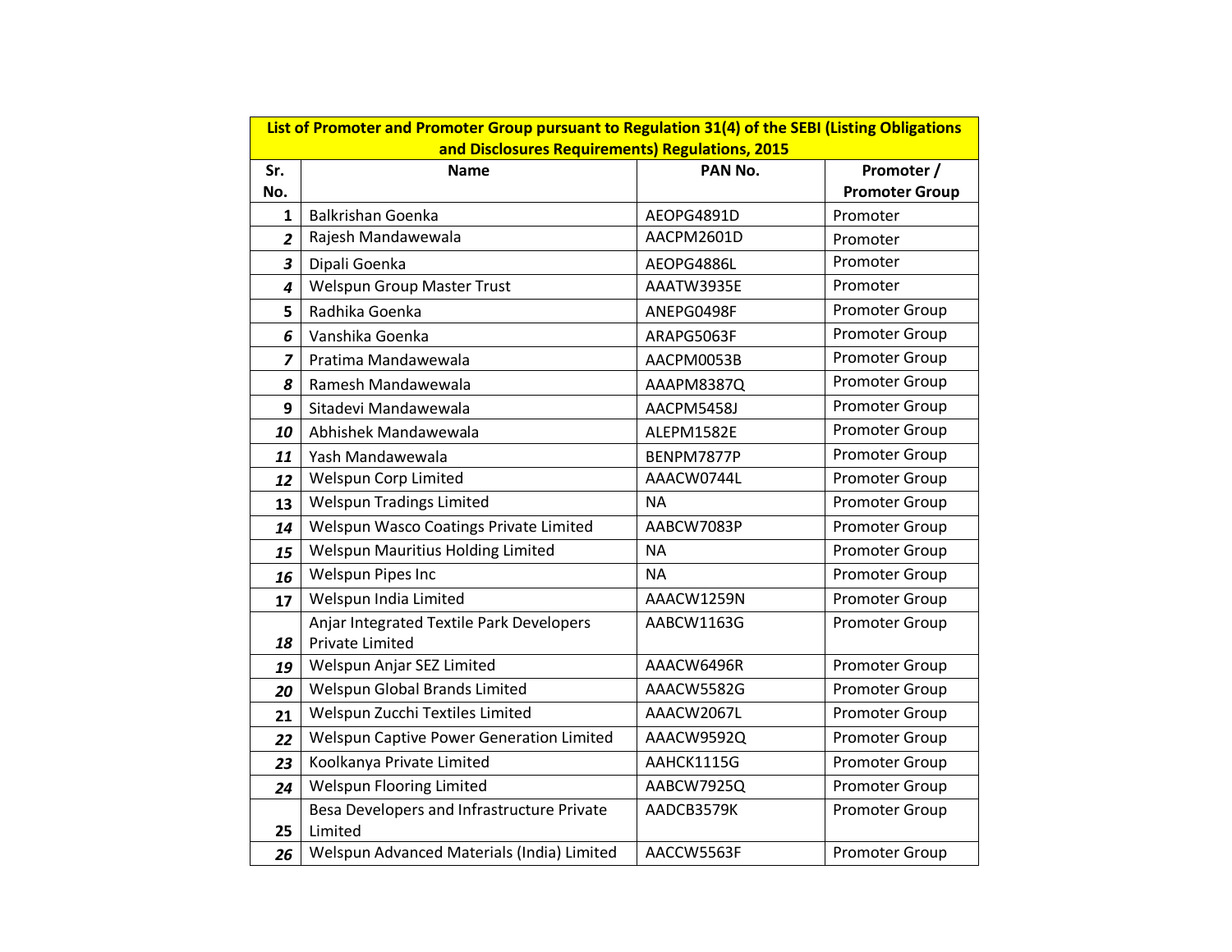|                         | List of Promoter and Promoter Group pursuant to Regulation 31(4) of the SEBI (Listing Obligations |            |                       |
|-------------------------|---------------------------------------------------------------------------------------------------|------------|-----------------------|
|                         | and Disclosures Requirements) Regulations, 2015                                                   |            |                       |
| Sr.                     | <b>Name</b>                                                                                       | PAN No.    | Promoter /            |
| No.                     |                                                                                                   |            | <b>Promoter Group</b> |
| $\mathbf{1}$            | <b>Balkrishan Goenka</b>                                                                          | AEOPG4891D | Promoter              |
| $\overline{2}$          | Rajesh Mandawewala                                                                                | AACPM2601D | Promoter              |
| $\overline{\mathbf{3}}$ | Dipali Goenka                                                                                     | AEOPG4886L | Promoter              |
| 4                       | <b>Welspun Group Master Trust</b>                                                                 | AAATW3935E | Promoter              |
| 5                       | Radhika Goenka                                                                                    | ANEPG0498F | Promoter Group        |
| 6                       | Vanshika Goenka                                                                                   | ARAPG5063F | Promoter Group        |
| $\overline{z}$          | Pratima Mandawewala                                                                               | AACPM0053B | Promoter Group        |
| 8                       | Ramesh Mandawewala                                                                                | AAAPM8387Q | Promoter Group        |
| 9                       | Sitadevi Mandawewala                                                                              | AACPM5458J | Promoter Group        |
| 10                      | Abhishek Mandawewala                                                                              | ALEPM1582E | Promoter Group        |
| 11                      | Yash Mandawewala                                                                                  | BENPM7877P | Promoter Group        |
| 12                      | Welspun Corp Limited                                                                              | AAACW0744L | Promoter Group        |
| 13                      | <b>Welspun Tradings Limited</b>                                                                   | <b>NA</b>  | Promoter Group        |
| 14                      | Welspun Wasco Coatings Private Limited                                                            | AABCW7083P | Promoter Group        |
| 15                      | Welspun Mauritius Holding Limited                                                                 | <b>NA</b>  | Promoter Group        |
| 16                      | <b>Welspun Pipes Inc</b>                                                                          | <b>NA</b>  | Promoter Group        |
| 17                      | Welspun India Limited                                                                             | AAACW1259N | Promoter Group        |
|                         | Anjar Integrated Textile Park Developers                                                          | AABCW1163G | Promoter Group        |
| 18                      | Private Limited                                                                                   |            |                       |
| 19                      | Welspun Anjar SEZ Limited                                                                         | AAACW6496R | Promoter Group        |
| 20                      | Welspun Global Brands Limited                                                                     | AAACW5582G | Promoter Group        |
| 21                      | Welspun Zucchi Textiles Limited                                                                   | AAACW2067L | Promoter Group        |
| 22                      | Welspun Captive Power Generation Limited                                                          | AAACW9592Q | Promoter Group        |
| 23                      | Koolkanya Private Limited                                                                         | AAHCK1115G | Promoter Group        |
| 24                      | <b>Welspun Flooring Limited</b>                                                                   | AABCW7925Q | Promoter Group        |
|                         | Besa Developers and Infrastructure Private                                                        | AADCB3579K | Promoter Group        |
| 25                      | Limited                                                                                           |            |                       |
| 26                      | Welspun Advanced Materials (India) Limited                                                        | AACCW5563F | Promoter Group        |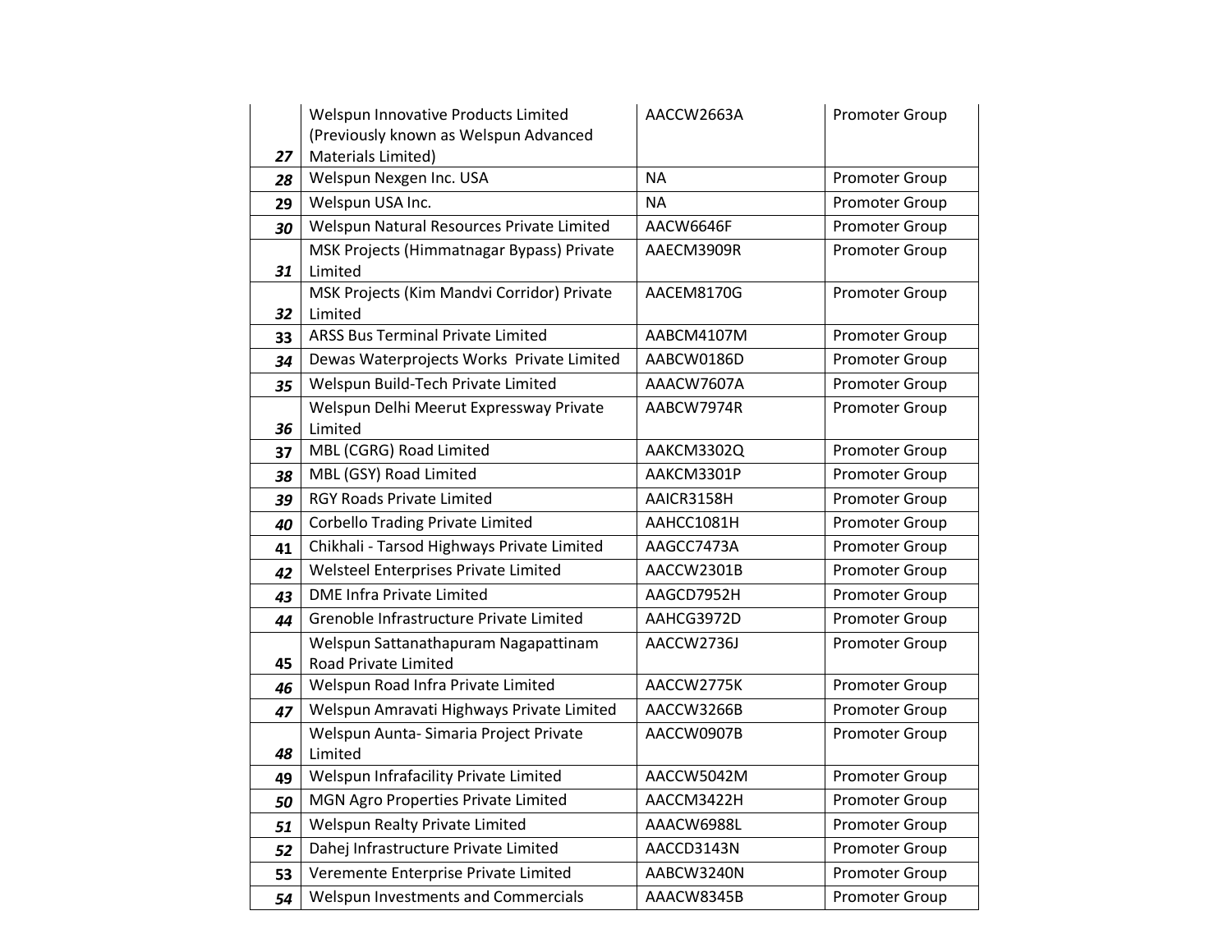|    | Welspun Innovative Products Limited        | AACCW2663A | Promoter Group        |
|----|--------------------------------------------|------------|-----------------------|
|    | (Previously known as Welspun Advanced      |            |                       |
| 27 | Materials Limited)                         |            |                       |
| 28 | Welspun Nexgen Inc. USA                    | <b>NA</b>  | Promoter Group        |
| 29 | Welspun USA Inc.                           | <b>NA</b>  | Promoter Group        |
| 30 | Welspun Natural Resources Private Limited  | AACW6646F  | Promoter Group        |
|    | MSK Projects (Himmatnagar Bypass) Private  | AAECM3909R | Promoter Group        |
| 31 | Limited                                    |            |                       |
|    | MSK Projects (Kim Mandvi Corridor) Private | AACEM8170G | Promoter Group        |
| 32 | Limited                                    |            |                       |
| 33 | <b>ARSS Bus Terminal Private Limited</b>   | AABCM4107M | Promoter Group        |
| 34 | Dewas Waterprojects Works Private Limited  | AABCW0186D | Promoter Group        |
| 35 | Welspun Build-Tech Private Limited         | AAACW7607A | Promoter Group        |
|    | Welspun Delhi Meerut Expressway Private    | AABCW7974R | Promoter Group        |
| 36 | Limited                                    |            |                       |
| 37 | MBL (CGRG) Road Limited                    | AAKCM3302Q | Promoter Group        |
| 38 | MBL (GSY) Road Limited                     | AAKCM3301P | Promoter Group        |
| 39 | <b>RGY Roads Private Limited</b>           | AAICR3158H | Promoter Group        |
| 40 | <b>Corbello Trading Private Limited</b>    | AAHCC1081H | <b>Promoter Group</b> |
| 41 | Chikhali - Tarsod Highways Private Limited | AAGCC7473A | Promoter Group        |
| 42 | Welsteel Enterprises Private Limited       | AACCW2301B | Promoter Group        |
| 43 | <b>DME Infra Private Limited</b>           | AAGCD7952H | Promoter Group        |
| 44 | Grenoble Infrastructure Private Limited    | AAHCG3972D | <b>Promoter Group</b> |
|    | Welspun Sattanathapuram Nagapattinam       | AACCW2736J | Promoter Group        |
| 45 | Road Private Limited                       |            |                       |
| 46 | Welspun Road Infra Private Limited         | AACCW2775K | Promoter Group        |
| 47 | Welspun Amravati Highways Private Limited  | AACCW3266B | Promoter Group        |
|    | Welspun Aunta- Simaria Project Private     | AACCW0907B | Promoter Group        |
| 48 | Limited                                    |            |                       |
| 49 | Welspun Infrafacility Private Limited      | AACCW5042M | Promoter Group        |
| 50 | MGN Agro Properties Private Limited        | AACCM3422H | Promoter Group        |
| 51 | Welspun Realty Private Limited             | AAACW6988L | <b>Promoter Group</b> |
| 52 | Dahej Infrastructure Private Limited       | AACCD3143N | Promoter Group        |
| 53 | Veremente Enterprise Private Limited       | AABCW3240N | Promoter Group        |
| 54 | Welspun Investments and Commercials        | AAACW8345B | <b>Promoter Group</b> |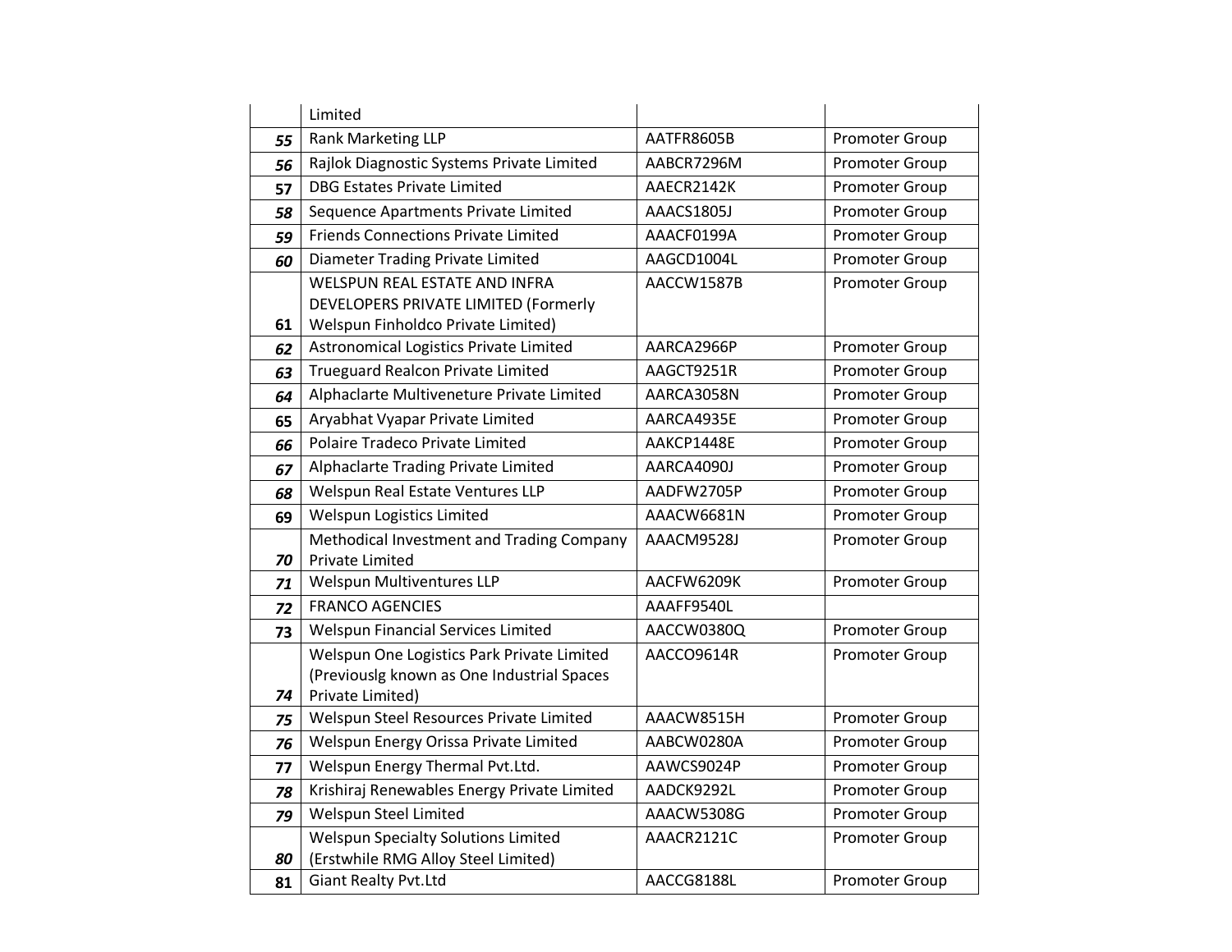|    | Limited                                     |            |                       |
|----|---------------------------------------------|------------|-----------------------|
| 55 | Rank Marketing LLP                          | AATFR8605B | Promoter Group        |
| 56 | Rajlok Diagnostic Systems Private Limited   | AABCR7296M | <b>Promoter Group</b> |
| 57 | <b>DBG Estates Private Limited</b>          | AAECR2142K | Promoter Group        |
| 58 | Sequence Apartments Private Limited         | AAACS1805J | Promoter Group        |
| 59 | <b>Friends Connections Private Limited</b>  | AAACF0199A | Promoter Group        |
| 60 | Diameter Trading Private Limited            | AAGCD1004L | Promoter Group        |
|    | <b>WELSPUN REAL ESTATE AND INFRA</b>        | AACCW1587B | Promoter Group        |
|    | DEVELOPERS PRIVATE LIMITED (Formerly        |            |                       |
| 61 | Welspun Finholdco Private Limited)          |            |                       |
| 62 | Astronomical Logistics Private Limited      | AARCA2966P | Promoter Group        |
| 63 | <b>Trueguard Realcon Private Limited</b>    | AAGCT9251R | Promoter Group        |
| 64 | Alphaclarte Multiveneture Private Limited   | AARCA3058N | Promoter Group        |
| 65 | Aryabhat Vyapar Private Limited             | AARCA4935E | Promoter Group        |
| 66 | Polaire Tradeco Private Limited             | AAKCP1448E | Promoter Group        |
| 67 | Alphaclarte Trading Private Limited         | AARCA4090J | Promoter Group        |
| 68 | Welspun Real Estate Ventures LLP            | AADFW2705P | Promoter Group        |
| 69 | Welspun Logistics Limited                   | AAACW6681N | <b>Promoter Group</b> |
|    | Methodical Investment and Trading Company   | AAACM9528J | <b>Promoter Group</b> |
| 70 | <b>Private Limited</b>                      |            |                       |
| 71 | Welspun Multiventures LLP                   | AACFW6209K | Promoter Group        |
| 72 | <b>FRANCO AGENCIES</b>                      | AAAFF9540L |                       |
| 73 | Welspun Financial Services Limited          | AACCW0380Q | <b>Promoter Group</b> |
|    | Welspun One Logistics Park Private Limited  | AACCO9614R | <b>Promoter Group</b> |
|    | (Previouslg known as One Industrial Spaces  |            |                       |
| 74 | Private Limited)                            |            |                       |
| 75 | Welspun Steel Resources Private Limited     | AAACW8515H | Promoter Group        |
| 76 | Welspun Energy Orissa Private Limited       | AABCW0280A | Promoter Group        |
| 77 | Welspun Energy Thermal Pvt.Ltd.             | AAWCS9024P | Promoter Group        |
| 78 | Krishiraj Renewables Energy Private Limited | AADCK9292L | <b>Promoter Group</b> |
| 79 | Welspun Steel Limited                       | AAACW5308G | Promoter Group        |
|    | <b>Welspun Specialty Solutions Limited</b>  | AAACR2121C | Promoter Group        |
| 80 | (Erstwhile RMG Alloy Steel Limited)         |            |                       |
| 81 | <b>Giant Realty Pvt.Ltd</b>                 | AACCG8188L | Promoter Group        |